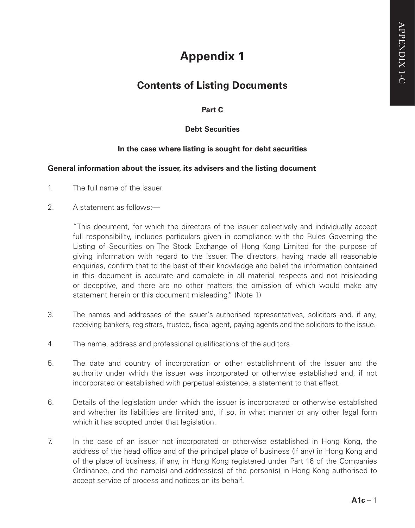# **Appendix 1**

# **Contents of Listing Documents**

**Part C**

# **Debt Securities**

# **In the case where listing is sought for debt securities**

#### **General information about the issuer, its advisers and the listing document**

- 1. The full name of the issuer.
- 2. A statement as follows:

"This document, for which the directors of the issuer collectively and individually accept full responsibility, includes particulars given in compliance with the Rules Governing the Listing of Securities on The Stock Exchange of Hong Kong Limited for the purpose of giving information with regard to the issuer. The directors, having made all reasonable enquiries, confirm that to the best of their knowledge and belief the information contained in this document is accurate and complete in all material respects and not misleading or deceptive, and there are no other matters the omission of which would make any statement herein or this document misleading." (Note 1)

- 3. The names and addresses of the issuer's authorised representatives, solicitors and, if any, receiving bankers, registrars, trustee, fiscal agent, paying agents and the solicitors to the issue.
- 4. The name, address and professional qualifications of the auditors.
- 5. The date and country of incorporation or other establishment of the issuer and the authority under which the issuer was incorporated or otherwise established and, if not incorporated or established with perpetual existence, a statement to that effect.
- 6. Details of the legislation under which the issuer is incorporated or otherwise established and whether its liabilities are limited and, if so, in what manner or any other legal form which it has adopted under that legislation.
- 7. In the case of an issuer not incorporated or otherwise established in Hong Kong, the address of the head office and of the principal place of business (if any) in Hong Kong and of the place of business, if any, in Hong Kong registered under Part 16 of the Companies Ordinance, and the name(s) and address(es) of the person(s) in Hong Kong authorised to accept service of process and notices on its behalf.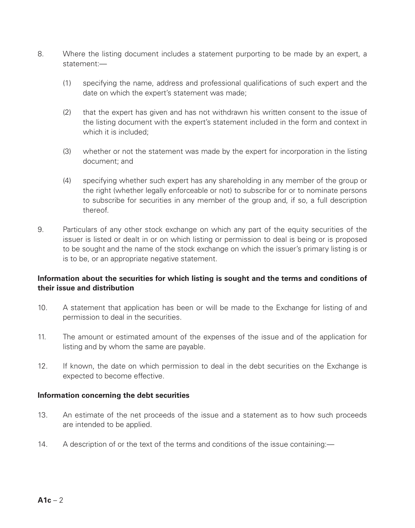- 8. Where the listing document includes a statement purporting to be made by an expert, a statement:—
	- (1) specifying the name, address and professional qualifications of such expert and the date on which the expert's statement was made;
	- (2) that the expert has given and has not withdrawn his written consent to the issue of the listing document with the expert's statement included in the form and context in which it is included:
	- (3) whether or not the statement was made by the expert for incorporation in the listing document; and
	- (4) specifying whether such expert has any shareholding in any member of the group or the right (whether legally enforceable or not) to subscribe for or to nominate persons to subscribe for securities in any member of the group and, if so, a full description thereof.
- 9. Particulars of any other stock exchange on which any part of the equity securities of the issuer is listed or dealt in or on which listing or permission to deal is being or is proposed to be sought and the name of the stock exchange on which the issuer's primary listing is or is to be, or an appropriate negative statement.

# **Information about the securities for which listing is sought and the terms and conditions of their issue and distribution**

- 10. A statement that application has been or will be made to the Exchange for listing of and permission to deal in the securities.
- 11. The amount or estimated amount of the expenses of the issue and of the application for listing and by whom the same are payable.
- 12. If known, the date on which permission to deal in the debt securities on the Exchange is expected to become effective.

#### **Information concerning the debt securities**

- 13. An estimate of the net proceeds of the issue and a statement as to how such proceeds are intended to be applied.
- 14. A description of or the text of the terms and conditions of the issue containing:—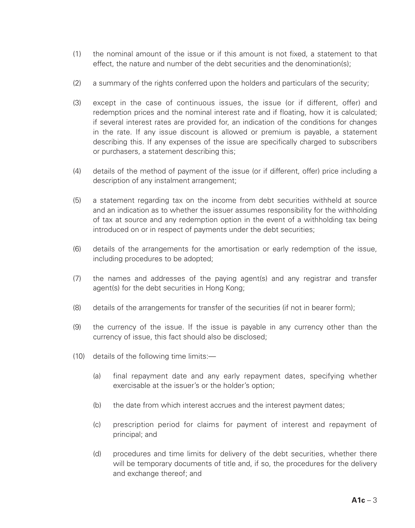- (1) the nominal amount of the issue or if this amount is not fixed, a statement to that effect, the nature and number of the debt securities and the denomination(s);
- (2) a summary of the rights conferred upon the holders and particulars of the security;
- (3) except in the case of continuous issues, the issue (or if different, offer) and redemption prices and the nominal interest rate and if floating, how it is calculated; if several interest rates are provided for, an indication of the conditions for changes in the rate. If any issue discount is allowed or premium is payable, a statement describing this. If any expenses of the issue are specifically charged to subscribers or purchasers, a statement describing this;
- (4) details of the method of payment of the issue (or if different, offer) price including a description of any instalment arrangement;
- (5) a statement regarding tax on the income from debt securities withheld at source and an indication as to whether the issuer assumes responsibility for the withholding of tax at source and any redemption option in the event of a withholding tax being introduced on or in respect of payments under the debt securities;
- (6) details of the arrangements for the amortisation or early redemption of the issue, including procedures to be adopted;
- (7) the names and addresses of the paying agent(s) and any registrar and transfer agent(s) for the debt securities in Hong Kong;
- (8) details of the arrangements for transfer of the securities (if not in bearer form);
- (9) the currency of the issue. If the issue is payable in any currency other than the currency of issue, this fact should also be disclosed;
- (10) details of the following time limits:—
	- (a) final repayment date and any early repayment dates, specifying whether exercisable at the issuer's or the holder's option;
	- (b) the date from which interest accrues and the interest payment dates;
	- (c) prescription period for claims for payment of interest and repayment of principal; and
	- (d) procedures and time limits for delivery of the debt securities, whether there will be temporary documents of title and, if so, the procedures for the delivery and exchange thereof; and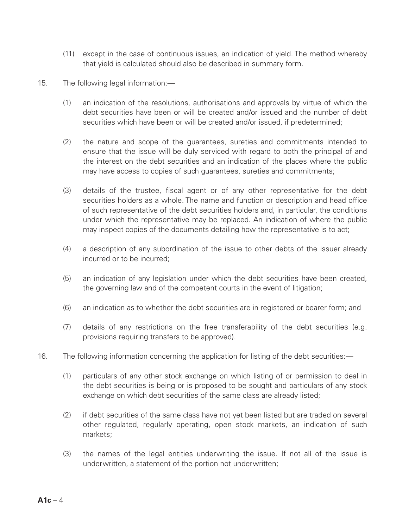- (11) except in the case of continuous issues, an indication of yield. The method whereby that yield is calculated should also be described in summary form.
- 15. The following legal information:—
	- (1) an indication of the resolutions, authorisations and approvals by virtue of which the debt securities have been or will be created and/or issued and the number of debt securities which have been or will be created and/or issued, if predetermined;
	- (2) the nature and scope of the guarantees, sureties and commitments intended to ensure that the issue will be duly serviced with regard to both the principal of and the interest on the debt securities and an indication of the places where the public may have access to copies of such guarantees, sureties and commitments;
	- (3) details of the trustee, fiscal agent or of any other representative for the debt securities holders as a whole. The name and function or description and head office of such representative of the debt securities holders and, in particular, the conditions under which the representative may be replaced. An indication of where the public may inspect copies of the documents detailing how the representative is to act;
	- (4) a description of any subordination of the issue to other debts of the issuer already incurred or to be incurred;
	- (5) an indication of any legislation under which the debt securities have been created, the governing law and of the competent courts in the event of litigation;
	- (6) an indication as to whether the debt securities are in registered or bearer form; and
	- (7) details of any restrictions on the free transferability of the debt securities (e.g. provisions requiring transfers to be approved).
- 16. The following information concerning the application for listing of the debt securities:—
	- (1) particulars of any other stock exchange on which listing of or permission to deal in the debt securities is being or is proposed to be sought and particulars of any stock exchange on which debt securities of the same class are already listed:
	- (2) if debt securities of the same class have not yet been listed but are traded on several other regulated, regularly operating, open stock markets, an indication of such markets;
	- (3) the names of the legal entities underwriting the issue. If not all of the issue is underwritten, a statement of the portion not underwritten;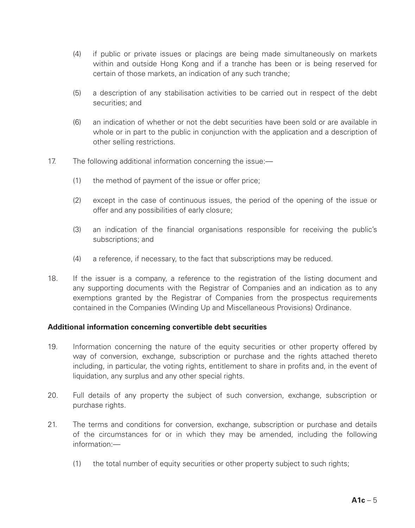- (4) if public or private issues or placings are being made simultaneously on markets within and outside Hong Kong and if a tranche has been or is being reserved for certain of those markets, an indication of any such tranche;
- (5) a description of any stabilisation activities to be carried out in respect of the debt securities; and
- (6) an indication of whether or not the debt securities have been sold or are available in whole or in part to the public in conjunction with the application and a description of other selling restrictions.
- 17. The following additional information concerning the issue:—
	- (1) the method of payment of the issue or offer price;
	- (2) except in the case of continuous issues, the period of the opening of the issue or offer and any possibilities of early closure;
	- (3) an indication of the financial organisations responsible for receiving the public's subscriptions; and
	- (4) a reference, if necessary, to the fact that subscriptions may be reduced.
- 18. If the issuer is a company, a reference to the registration of the listing document and any supporting documents with the Registrar of Companies and an indication as to any exemptions granted by the Registrar of Companies from the prospectus requirements contained in the Companies (Winding Up and Miscellaneous Provisions) Ordinance.

# **Additional information concerning convertible debt securities**

- 19. Information concerning the nature of the equity securities or other property offered by way of conversion, exchange, subscription or purchase and the rights attached thereto including, in particular, the voting rights, entitlement to share in profits and, in the event of liquidation, any surplus and any other special rights.
- 20. Full details of any property the subject of such conversion, exchange, subscription or purchase rights.
- 21. The terms and conditions for conversion, exchange, subscription or purchase and details of the circumstances for or in which they may be amended, including the following information:—
	- (1) the total number of equity securities or other property subject to such rights;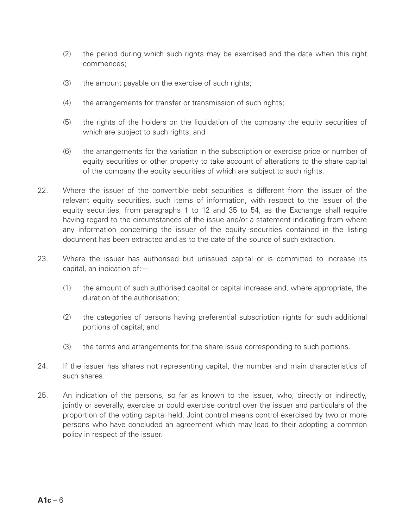- (2) the period during which such rights may be exercised and the date when this right commences;
- (3) the amount payable on the exercise of such rights;
- (4) the arrangements for transfer or transmission of such rights;
- (5) the rights of the holders on the liquidation of the company the equity securities of which are subject to such rights; and
- (6) the arrangements for the variation in the subscription or exercise price or number of equity securities or other property to take account of alterations to the share capital of the company the equity securities of which are subject to such rights.
- 22. Where the issuer of the convertible debt securities is different from the issuer of the relevant equity securities, such items of information, with respect to the issuer of the equity securities, from paragraphs 1 to 12 and 35 to 54, as the Exchange shall require having regard to the circumstances of the issue and/or a statement indicating from where any information concerning the issuer of the equity securities contained in the listing document has been extracted and as to the date of the source of such extraction.
- 23. Where the issuer has authorised but unissued capital or is committed to increase its capital, an indication of:—
	- (1) the amount of such authorised capital or capital increase and, where appropriate, the duration of the authorisation;
	- (2) the categories of persons having preferential subscription rights for such additional portions of capital; and
	- (3) the terms and arrangements for the share issue corresponding to such portions.
- 24. If the issuer has shares not representing capital, the number and main characteristics of such shares.
- 25. An indication of the persons, so far as known to the issuer, who, directly or indirectly, jointly or severally, exercise or could exercise control over the issuer and particulars of the proportion of the voting capital held. Joint control means control exercised by two or more persons who have concluded an agreement which may lead to their adopting a common policy in respect of the issuer.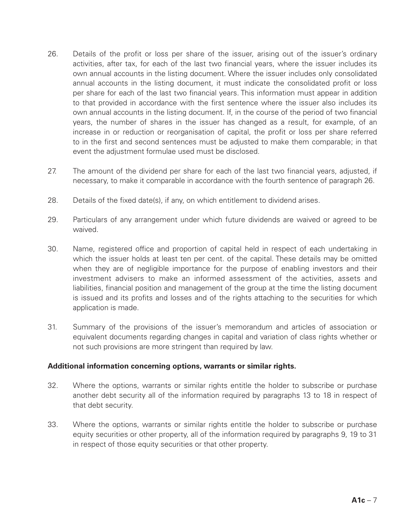- 26. Details of the profit or loss per share of the issuer, arising out of the issuer's ordinary activities, after tax, for each of the last two financial years, where the issuer includes its own annual accounts in the listing document. Where the issuer includes only consolidated annual accounts in the listing document, it must indicate the consolidated profit or loss per share for each of the last two financial years. This information must appear in addition to that provided in accordance with the first sentence where the issuer also includes its own annual accounts in the listing document. If, in the course of the period of two financial years, the number of shares in the issuer has changed as a result, for example, of an increase in or reduction or reorganisation of capital, the profit or loss per share referred to in the first and second sentences must be adjusted to make them comparable; in that event the adjustment formulae used must be disclosed.
- 27. The amount of the dividend per share for each of the last two financial years, adjusted, if necessary, to make it comparable in accordance with the fourth sentence of paragraph 26.
- 28. Details of the fixed date(s), if any, on which entitlement to dividend arises.
- 29. Particulars of any arrangement under which future dividends are waived or agreed to be waived.
- 30. Name, registered office and proportion of capital held in respect of each undertaking in which the issuer holds at least ten per cent. of the capital. These details may be omitted when they are of negligible importance for the purpose of enabling investors and their investment advisers to make an informed assessment of the activities, assets and liabilities, financial position and management of the group at the time the listing document is issued and its profits and losses and of the rights attaching to the securities for which application is made.
- 31. Summary of the provisions of the issuer's memorandum and articles of association or equivalent documents regarding changes in capital and variation of class rights whether or not such provisions are more stringent than required by law.

#### **Additional information concerning options, warrants or similar rights.**

- 32. Where the options, warrants or similar rights entitle the holder to subscribe or purchase another debt security all of the information required by paragraphs 13 to 18 in respect of that debt security.
- 33. Where the options, warrants or similar rights entitle the holder to subscribe or purchase equity securities or other property, all of the information required by paragraphs 9, 19 to 31 in respect of those equity securities or that other property.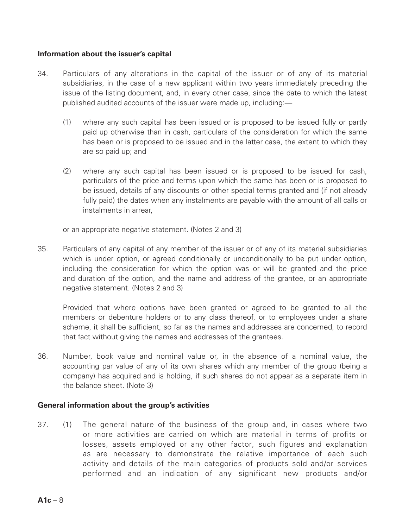#### **Information about the issuer's capital**

- 34. Particulars of any alterations in the capital of the issuer or of any of its material subsidiaries, in the case of a new applicant within two years immediately preceding the issue of the listing document, and, in every other case, since the date to which the latest published audited accounts of the issuer were made up, including:-
	- (1) where any such capital has been issued or is proposed to be issued fully or partly paid up otherwise than in cash, particulars of the consideration for which the same has been or is proposed to be issued and in the latter case, the extent to which they are so paid up; and
	- (2) where any such capital has been issued or is proposed to be issued for cash, particulars of the price and terms upon which the same has been or is proposed to be issued, details of any discounts or other special terms granted and (if not already fully paid) the dates when any instalments are payable with the amount of all calls or instalments in arrear,

or an appropriate negative statement. (Notes 2 and 3)

35. Particulars of any capital of any member of the issuer or of any of its material subsidiaries which is under option, or agreed conditionally or unconditionally to be put under option, including the consideration for which the option was or will be granted and the price and duration of the option, and the name and address of the grantee, or an appropriate negative statement. (Notes 2 and 3)

Provided that where options have been granted or agreed to be granted to all the members or debenture holders or to any class thereof, or to employees under a share scheme, it shall be sufficient, so far as the names and addresses are concerned, to record that fact without giving the names and addresses of the grantees.

36. Number, book value and nominal value or, in the absence of a nominal value, the accounting par value of any of its own shares which any member of the group (being a company) has acquired and is holding, if such shares do not appear as a separate item in the balance sheet. (Note 3)

#### **General information about the group's activities**

37. (1) The general nature of the business of the group and, in cases where two or more activities are carried on which are material in terms of profits or losses, assets employed or any other factor, such figures and explanation as are necessary to demonstrate the relative importance of each such activity and details of the main categories of products sold and/or services performed and an indication of any significant new products and/or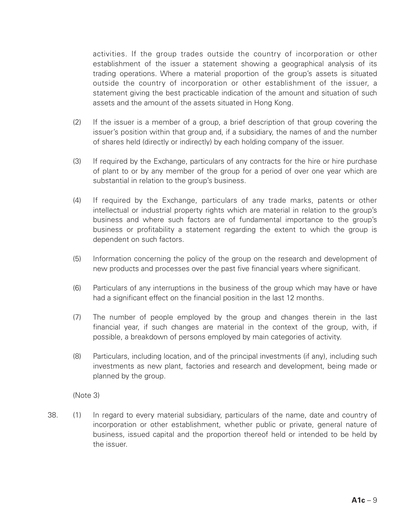activities. If the group trades outside the country of incorporation or other establishment of the issuer a statement showing a geographical analysis of its trading operations. Where a material proportion of the group's assets is situated outside the country of incorporation or other establishment of the issuer, a statement giving the best practicable indication of the amount and situation of such assets and the amount of the assets situated in Hong Kong.

- (2) If the issuer is a member of a group, a brief description of that group covering the issuer's position within that group and, if a subsidiary, the names of and the number of shares held (directly or indirectly) by each holding company of the issuer.
- (3) If required by the Exchange, particulars of any contracts for the hire or hire purchase of plant to or by any member of the group for a period of over one year which are substantial in relation to the group's business.
- (4) If required by the Exchange, particulars of any trade marks, patents or other intellectual or industrial property rights which are material in relation to the group's business and where such factors are of fundamental importance to the group's business or profitability a statement regarding the extent to which the group is dependent on such factors.
- (5) Information concerning the policy of the group on the research and development of new products and processes over the past five financial years where significant.
- (6) Particulars of any interruptions in the business of the group which may have or have had a significant effect on the financial position in the last 12 months.
- (7) The number of people employed by the group and changes therein in the last financial year, if such changes are material in the context of the group, with, if possible, a breakdown of persons employed by main categories of activity.
- (8) Particulars, including location, and of the principal investments (if any), including such investments as new plant, factories and research and development, being made or planned by the group.

(Note 3)

38. (1) In regard to every material subsidiary, particulars of the name, date and country of incorporation or other establishment, whether public or private, general nature of business, issued capital and the proportion thereof held or intended to be held by the issuer.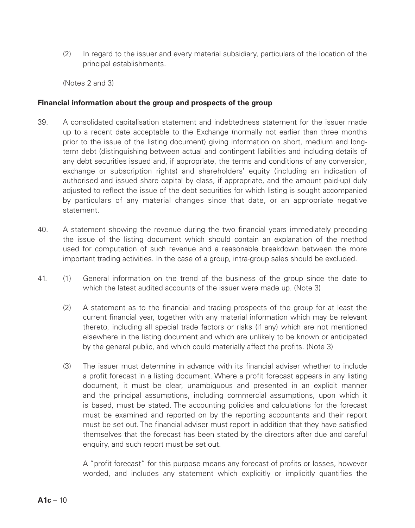(2) In regard to the issuer and every material subsidiary, particulars of the location of the principal establishments.

(Notes 2 and 3)

#### **Financial information about the group and prospects of the group**

- 39. A consolidated capitalisation statement and indebtedness statement for the issuer made up to a recent date acceptable to the Exchange (normally not earlier than three months prior to the issue of the listing document) giving information on short, medium and longterm debt (distinguishing between actual and contingent liabilities and including details of any debt securities issued and, if appropriate, the terms and conditions of any conversion, exchange or subscription rights) and shareholders' equity (including an indication of authorised and issued share capital by class, if appropriate, and the amount paid-up) duly adjusted to reflect the issue of the debt securities for which listing is sought accompanied by particulars of any material changes since that date, or an appropriate negative statement.
- 40. A statement showing the revenue during the two financial years immediately preceding the issue of the listing document which should contain an explanation of the method used for computation of such revenue and a reasonable breakdown between the more important trading activities. In the case of a group, intra-group sales should be excluded.
- 41. (1) General information on the trend of the business of the group since the date to which the latest audited accounts of the issuer were made up. (Note 3)
	- (2) A statement as to the financial and trading prospects of the group for at least the current financial year, together with any material information which may be relevant thereto, including all special trade factors or risks (if any) which are not mentioned elsewhere in the listing document and which are unlikely to be known or anticipated by the general public, and which could materially affect the profits. (Note 3)
	- (3) The issuer must determine in advance with its financial adviser whether to include a profit forecast in a listing document. Where a profit forecast appears in any listing document, it must be clear, unambiguous and presented in an explicit manner and the principal assumptions, including commercial assumptions, upon which it is based, must be stated. The accounting policies and calculations for the forecast must be examined and reported on by the reporting accountants and their report must be set out. The financial adviser must report in addition that they have satisfied themselves that the forecast has been stated by the directors after due and careful enquiry, and such report must be set out.

A "profit forecast" for this purpose means any forecast of profits or losses, however worded, and includes any statement which explicitly or implicitly quantifies the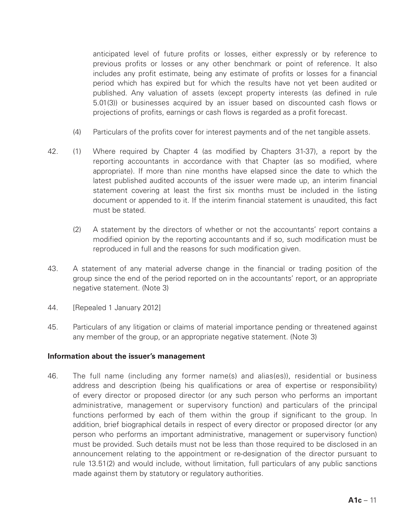anticipated level of future profits or losses, either expressly or by reference to previous profits or losses or any other benchmark or point of reference. It also includes any profit estimate, being any estimate of profits or losses for a financial period which has expired but for which the results have not yet been audited or published. Any valuation of assets (except property interests (as defined in rule 5.01(3)) or businesses acquired by an issuer based on discounted cash flows or projections of profits, earnings or cash flows is regarded as a profit forecast.

- (4) Particulars of the profits cover for interest payments and of the net tangible assets.
- 42. (1) Where required by Chapter 4 (as modified by Chapters 31-37), a report by the reporting accountants in accordance with that Chapter (as so modified, where appropriate). If more than nine months have elapsed since the date to which the latest published audited accounts of the issuer were made up, an interim financial statement covering at least the first six months must be included in the listing document or appended to it. If the interim financial statement is unaudited, this fact must be stated.
	- (2) A statement by the directors of whether or not the accountants' report contains a modified opinion by the reporting accountants and if so, such modification must be reproduced in full and the reasons for such modification given.
- 43. A statement of any material adverse change in the financial or trading position of the group since the end of the period reported on in the accountants' report, or an appropriate negative statement. (Note 3)
- 44. **[Repealed 1 January 2012]**
- 45. Particulars of any litigation or claims of material importance pending or threatened against any member of the group, or an appropriate negative statement. (Note 3)

#### **Information about the issuer's management**

46. The full name (including any former name(s) and alias(es)), residential or business address and description (being his qualifications or area of expertise or responsibility) of every director or proposed director (or any such person who performs an important administrative, management or supervisory function) and particulars of the principal functions performed by each of them within the group if significant to the group. In addition, brief biographical details in respect of every director or proposed director (or any person who performs an important administrative, management or supervisory function) must be provided. Such details must not be less than those required to be disclosed in an announcement relating to the appointment or re-designation of the director pursuant to rule 13.51(2) and would include, without limitation, full particulars of any public sanctions made against them by statutory or regulatory authorities.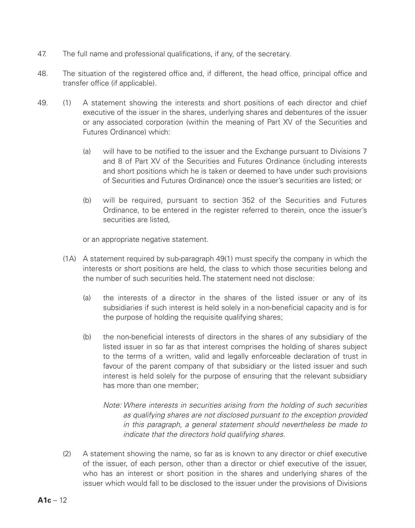- 47. The full name and professional qualifications, if any, of the secretary.
- 48. The situation of the registered office and, if different, the head office, principal office and transfer office (if applicable).
- 49. (1) A statement showing the interests and short positions of each director and chief executive of the issuer in the shares, underlying shares and debentures of the issuer or any associated corporation (within the meaning of Part XV of the Securities and Futures Ordinance) which:
	- (a) will have to be notified to the issuer and the Exchange pursuant to Divisions 7 and 8 of Part XV of the Securities and Futures Ordinance (including interests and short positions which he is taken or deemed to have under such provisions of Securities and Futures Ordinance) once the issuer's securities are listed; or
	- (b) will be required, pursuant to section 352 of the Securities and Futures Ordinance, to be entered in the register referred to therein, once the issuer's securities are listed

or an appropriate negative statement.

- (1A) A statement required by sub-paragraph 49(1) must specify the company in which the interests or short positions are held, the class to which those securities belong and the number of such securities held. The statement need not disclose:
	- (a) the interests of a director in the shares of the listed issuer or any of its subsidiaries if such interest is held solely in a non-beneficial capacity and is for the purpose of holding the requisite qualifying shares;
	- (b) the non-beneficial interests of directors in the shares of any subsidiary of the listed issuer in so far as that interest comprises the holding of shares subject to the terms of a written, valid and legally enforceable declaration of trust in favour of the parent company of that subsidiary or the listed issuer and such interest is held solely for the purpose of ensuring that the relevant subsidiary has more than one member;
		- *Note: Where interests in securities arising from the holding of such securities as qualifying shares are not disclosed pursuant to the exception provided in this paragraph, a general statement should nevertheless be made to indicate that the directors hold qualifying shares.*
- (2) A statement showing the name, so far as is known to any director or chief executive of the issuer, of each person, other than a director or chief executive of the issuer, who has an interest or short position in the shares and underlying shares of the issuer which would fall to be disclosed to the issuer under the provisions of Divisions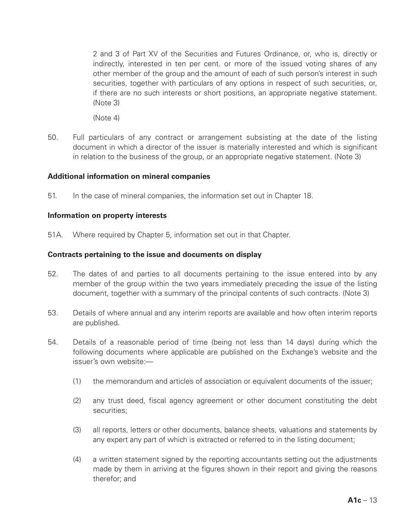2 and 3 of Part XV of the Securities and Futures Ordinance, or, who is, directly or indirectly, interested in ten per cent. or more of the issued voting shares of any other member of the group and the amount of each of such person's interest in such securities, together with particulars of any options in respect of such securities, or, if there are no such interests or short positions, an appropriate negative statement.  $(RA)$ 

(Note 4)

50. Full particulars of any contract or arrangement subsisting at the date of the listing document in which a director of the issuer is materially interested and which is significant in relation to the business of the group, or an appropriate negative statement. (Note 3)

### **Additional information on mineral companies**

51. In the case of mineral companies, the information set out in Chapter 18.

#### **Information on property interests**

51A. Where required by Chapter 5, information set out in that Chapter.

#### **Contracts pertaining to the issue and documents on display**

- 52. The dates of and parties to all documents pertaining to the issue entered into by any member of the group within the two years immediately preceding the issue of the listing document, together with a summary of the principal contents of such contracts. (Note 3)
- 53. Details of where annual and any interim reports are available and how often interim reports are published.
- 54. Details of a reasonable period of time (being not less than 14 days) during which the following documents where applicable are published on the Exchange's website and the issuer's own website:—
	- (1) the memorandum and articles of association or equivalent documents of the issuer;
	- (2) any trust deed, fiscal agency agreement or other document constituting the debt securities;
	- (3) all reports, letters or other documents, balance sheets, valuations and statements by any expert any part of which is extracted or referred to in the listing document;
	- (4) a written statement signed by the reporting accountants setting out the adjustments made by them in arriving at the figures shown in their report and giving the reasons therefor; and